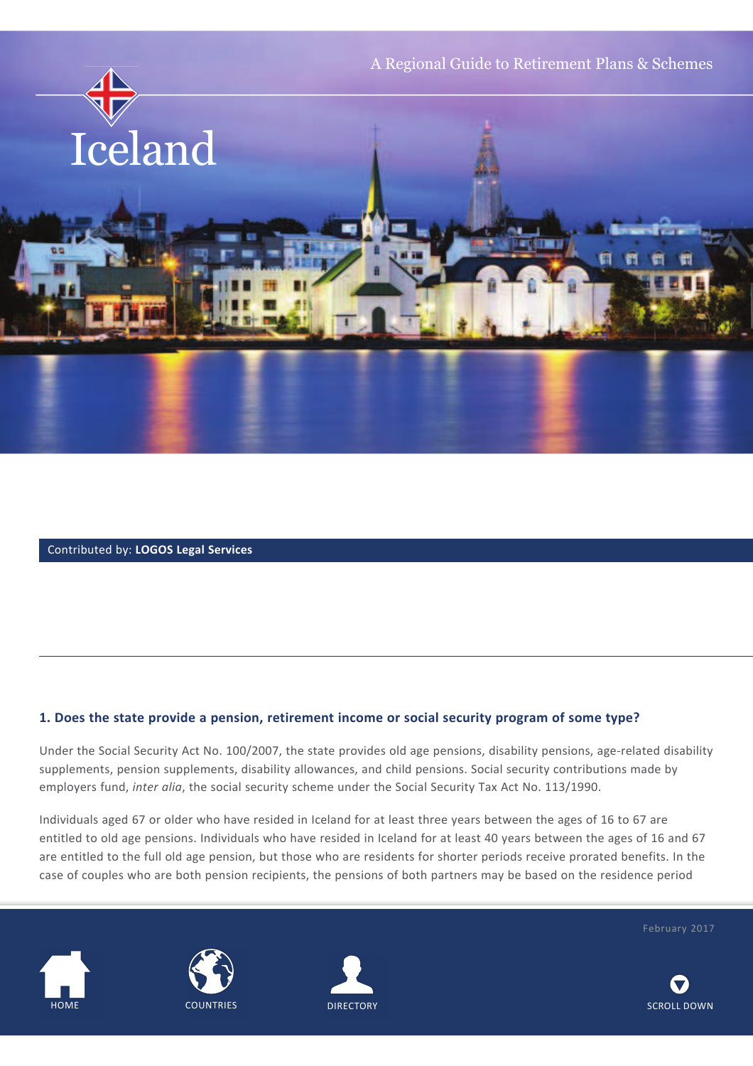

### Contributed by: **LOGOS Legal Services**

#### **1. Does the state provide a pension, retirement income or social security program of some type?**

Under the Social Security Act No. 100/2007, the state provides old age pensions, disability pensions, age-related disability supplements, pension supplements, disability allowances, and child pensions. Social security contributions made by employers fund, *inter alia*, the social security scheme under the Social Security Tax Act No. 113/1990.

Individuals aged 67 or older who have resided in Iceland for at least three years between the ages of 16 to 67 are entitled to old age pensions. Individuals who have resided in Iceland for at least 40 years between the ages of 16 and 67 are entitled to the full old age pension, but those who are residents for shorter periods receive prorated benefits. In the case of couples who are both pension recipients, the pensions of both partners may be based on the residence period









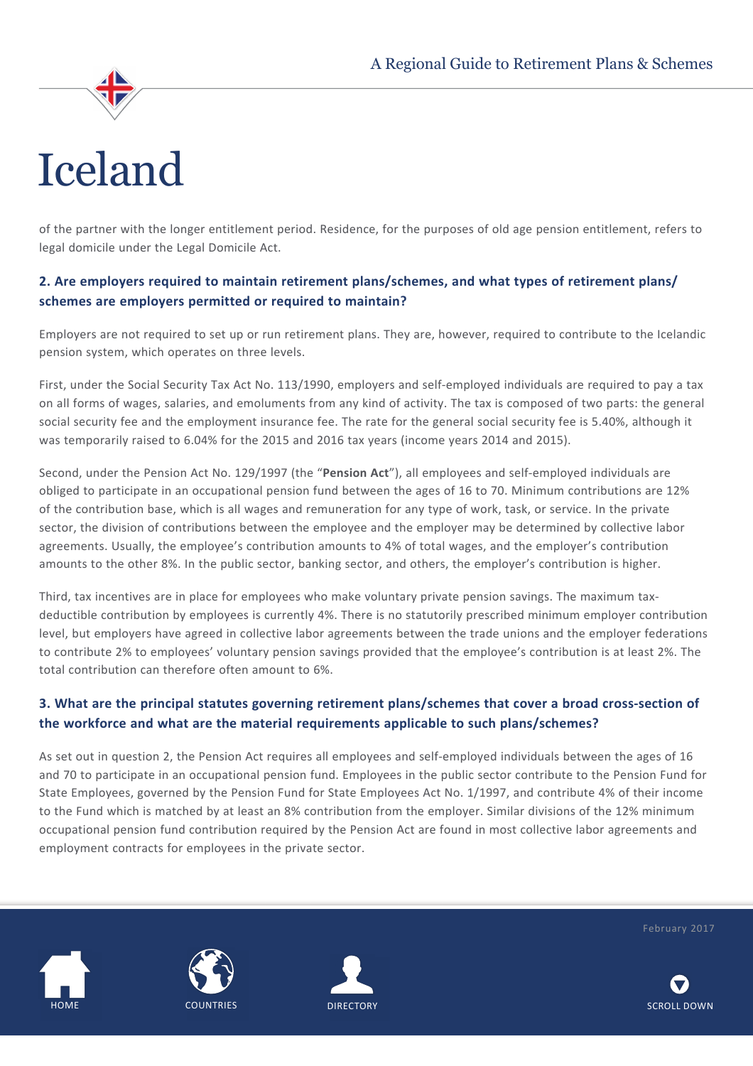

# Iceland

of the partner with the longer entitlement period. Residence, for the purposes of old age pension entitlement, refers to legal domicile under the Legal Domicile Act.

# **2. Are employers required to maintain retirement plans/schemes, and what types of retirement plans/ schemes are employers permitted or required to maintain?**

Employers are not required to set up or run retirement plans. They are, however, required to contribute to the Icelandic pension system, which operates on three levels.

First, under the Social Security Tax Act No. 113/1990, employers and self-employed individuals are required to pay a tax on all forms of wages, salaries, and emoluments from any kind of activity. The tax is composed of two parts: the general social security fee and the employment insurance fee. The rate for the general social security fee is 5.40%, although it was temporarily raised to 6.04% for the 2015 and 2016 tax years (income years 2014 and 2015).

Second, under the Pension Act No. 129/1997 (the "**Pension Act**"), all employees and self-employed individuals are obliged to participate in an occupational pension fund between the ages of 16 to 70. Minimum contributions are 12% of the contribution base, which is all wages and remuneration for any type of work, task, or service. In the private sector, the division of contributions between the employee and the employer may be determined by collective labor agreements. Usually, the employee's contribution amounts to 4% of total wages, and the employer's contribution amounts to the other 8%. In the public sector, banking sector, and others, the employer's contribution is higher.

Third, tax incentives are in place for employees who make voluntary private pension savings. The maximum taxdeductible contribution by employees is currently 4%. There is no statutorily prescribed minimum employer contribution level, but employers have agreed in collective labor agreements between the trade unions and the employer federations to contribute 2% to employees' voluntary pension savings provided that the employee's contribution is at least 2%. The total contribution can therefore often amount to 6%.

# **3. What are the principal statutes governing retirement plans/schemes that cover a broad cross-section of the workforce and what are the material requirements applicable to such plans/schemes?**

As set out in question 2, the Pension Act requires all employees and self-employed individuals between the ages of 16 and 70 to participate in an occupational pension fund. Employees in the public sector contribute to the Pension Fund for State Employees, governed by the Pension Fund for State Employees Act No. 1/1997, and contribute 4% of their income to the Fund which is matched by at least an 8% contribution from the employer. Similar divisions of the 12% minimum occupational pension fund contribution required by the Pension Act are found in most collective labor agreements and employment contracts for employees in the private sector.







February 2017

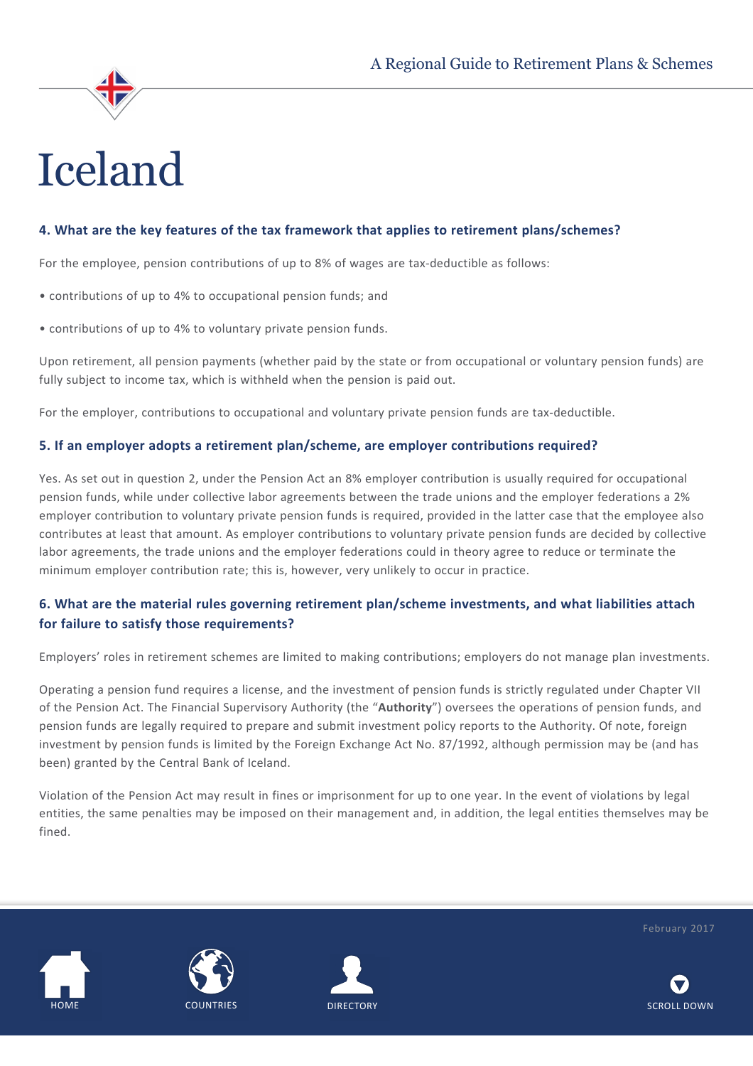

### **4. What are the key features of the tax framework that applies to retirement plans/schemes?**

For the employee, pension contributions of up to 8% of wages are tax-deductible as follows:

- contributions of up to 4% to occupational pension funds; and
- contributions of up to 4% to voluntary private pension funds.

Upon retirement, all pension payments (whether paid by the state or from occupational or voluntary pension funds) are fully subject to income tax, which is withheld when the pension is paid out.

For the employer, contributions to occupational and voluntary private pension funds are tax-deductible.

#### **5. If an employer adopts a retirement plan/scheme, are employer contributions required?**

Yes. As set out in question 2, under the Pension Act an 8% employer contribution is usually required for occupational pension funds, while under collective labor agreements between the trade unions and the employer federations a 2% employer contribution to voluntary private pension funds is required, provided in the latter case that the employee also contributes at least that amount. As employer contributions to voluntary private pension funds are decided by collective labor agreements, the trade unions and the employer federations could in theory agree to reduce or terminate the minimum employer contribution rate; this is, however, very unlikely to occur in practice.

# **6. What are the material rules governing retirement plan/scheme investments, and what liabilities attach for failure to satisfy those requirements?**

Employers' roles in retirement schemes are limited to making contributions; employers do not manage plan investments.

Operating a pension fund requires a license, and the investment of pension funds is strictly regulated under Chapter VII of the Pension Act. The Financial Supervisory Authority (the "**Authority**") oversees the operations of pension funds, and pension funds are legally required to prepare and submit investment policy reports to the Authority. Of note, foreign investment by pension funds is limited by the Foreign Exchange Act No. 87/1992, although permission may be (and has been) granted by the Central Bank of Iceland.

Violation of the Pension Act may result in fines or imprisonment for up to one year. In the event of violations by legal entities, the same penalties may be imposed on their management and, in addition, the legal entities themselves may be fined.







February 2017

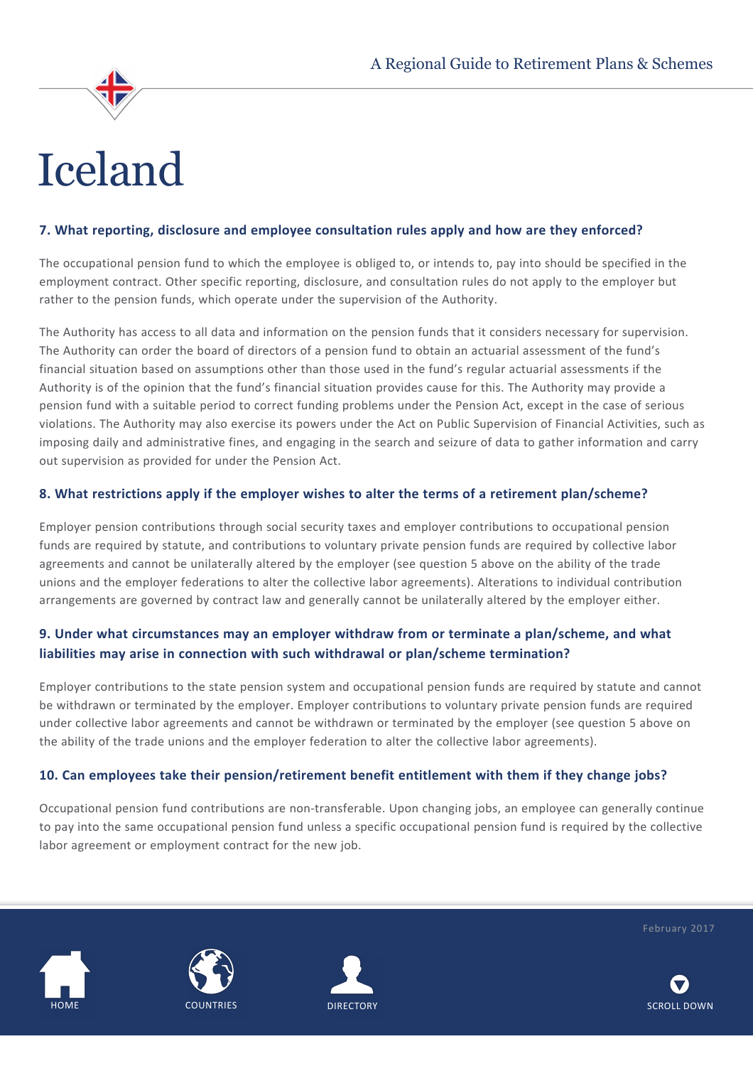# Iceland

### **7. What reporting, disclosure and employee consultation rules apply and how are they enforced?**

The occupational pension fund to which the employee is obliged to, or intends to, pay into should be specified in the employment contract. Other specific reporting, disclosure, and consultation rules do not apply to the employer but rather to the pension funds, which operate under the supervision of the Authority.

The Authority has access to all data and information on the pension funds that it considers necessary for supervision. The Authority can order the board of directors of a pension fund to obtain an actuarial assessment of the fund's financial situation based on assumptions other than those used in the fund's regular actuarial assessments if the Authority is of the opinion that the fund's financial situation provides cause for this. The Authority may provide a pension fund with a suitable period to correct funding problems under the Pension Act, except in the case of serious violations. The Authority may also exercise its powers under the Act on Public Supervision of Financial Activities, such as imposing daily and administrative fines, and engaging in the search and seizure of data to gather information and carry out supervision as provided for under the Pension Act.

### **8. What restrictions apply if the employer wishes to alter the terms of a retirement plan/scheme?**

Employer pension contributions through social security taxes and employer contributions to occupational pension funds are required by statute, and contributions to voluntary private pension funds are required by collective labor agreements and cannot be unilaterally altered by the employer (see question 5 above on the ability of the trade unions and the employer federations to alter the collective labor agreements). Alterations to individual contribution arrangements are governed by contract law and generally cannot be unilaterally altered by the employer either.

# **9. Under what circumstances may an employer withdraw from or terminate a plan/scheme, and what liabilities may arise in connection with such withdrawal or plan/scheme termination?**

Employer contributions to the state pension system and occupational pension funds are required by statute and cannot be withdrawn or terminated by the employer. Employer contributions to voluntary private pension funds are required under collective labor agreements and cannot be withdrawn or terminated by the employer (see question 5 above on the ability of the trade unions and the employer federation to alter the collective labor agreements).

### **10. Can employees take their pension/retirement benefit entitlement with them if they change jobs?**

Occupational pension fund contributions are non-transferable. Upon changing jobs, an employee can generally continue to pay into the same occupational pension fund unless a specific occupational pension fund is required by the collective labor agreement or employment contract for the new job.







February 2017